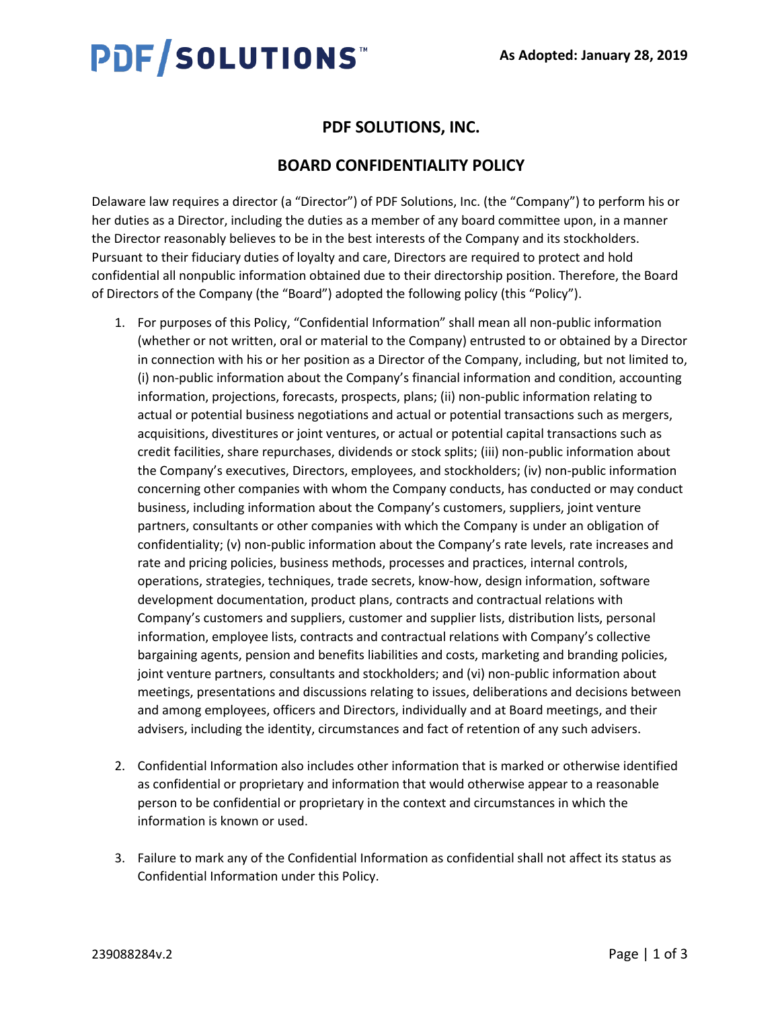# **PDF/SOLUTIONS™**

# **PDF SOLUTIONS, INC.**

## **BOARD CONFIDENTIALITY POLICY**

Delaware law requires a director (a "Director") of PDF Solutions, Inc. (the "Company") to perform his or her duties as a Director, including the duties as a member of any board committee upon, in a manner the Director reasonably believes to be in the best interests of the Company and its stockholders. Pursuant to their fiduciary duties of loyalty and care, Directors are required to protect and hold confidential all nonpublic information obtained due to their directorship position. Therefore, the Board of Directors of the Company (the "Board") adopted the following policy (this "Policy").

- 1. For purposes of this Policy, "Confidential Information" shall mean all non-public information (whether or not written, oral or material to the Company) entrusted to or obtained by a Director in connection with his or her position as a Director of the Company, including, but not limited to, (i) non-public information about the Company's financial information and condition, accounting information, projections, forecasts, prospects, plans; (ii) non-public information relating to actual or potential business negotiations and actual or potential transactions such as mergers, acquisitions, divestitures or joint ventures, or actual or potential capital transactions such as credit facilities, share repurchases, dividends or stock splits; (iii) non-public information about the Company's executives, Directors, employees, and stockholders; (iv) non-public information concerning other companies with whom the Company conducts, has conducted or may conduct business, including information about the Company's customers, suppliers, joint venture partners, consultants or other companies with which the Company is under an obligation of confidentiality; (v) non-public information about the Company's rate levels, rate increases and rate and pricing policies, business methods, processes and practices, internal controls, operations, strategies, techniques, trade secrets, know-how, design information, software development documentation, product plans, contracts and contractual relations with Company's customers and suppliers, customer and supplier lists, distribution lists, personal information, employee lists, contracts and contractual relations with Company's collective bargaining agents, pension and benefits liabilities and costs, marketing and branding policies, joint venture partners, consultants and stockholders; and (vi) non-public information about meetings, presentations and discussions relating to issues, deliberations and decisions between and among employees, officers and Directors, individually and at Board meetings, and their advisers, including the identity, circumstances and fact of retention of any such advisers.
- 2. Confidential Information also includes other information that is marked or otherwise identified as confidential or proprietary and information that would otherwise appear to a reasonable person to be confidential or proprietary in the context and circumstances in which the information is known or used.
- 3. Failure to mark any of the Confidential Information as confidential shall not affect its status as Confidential Information under this Policy.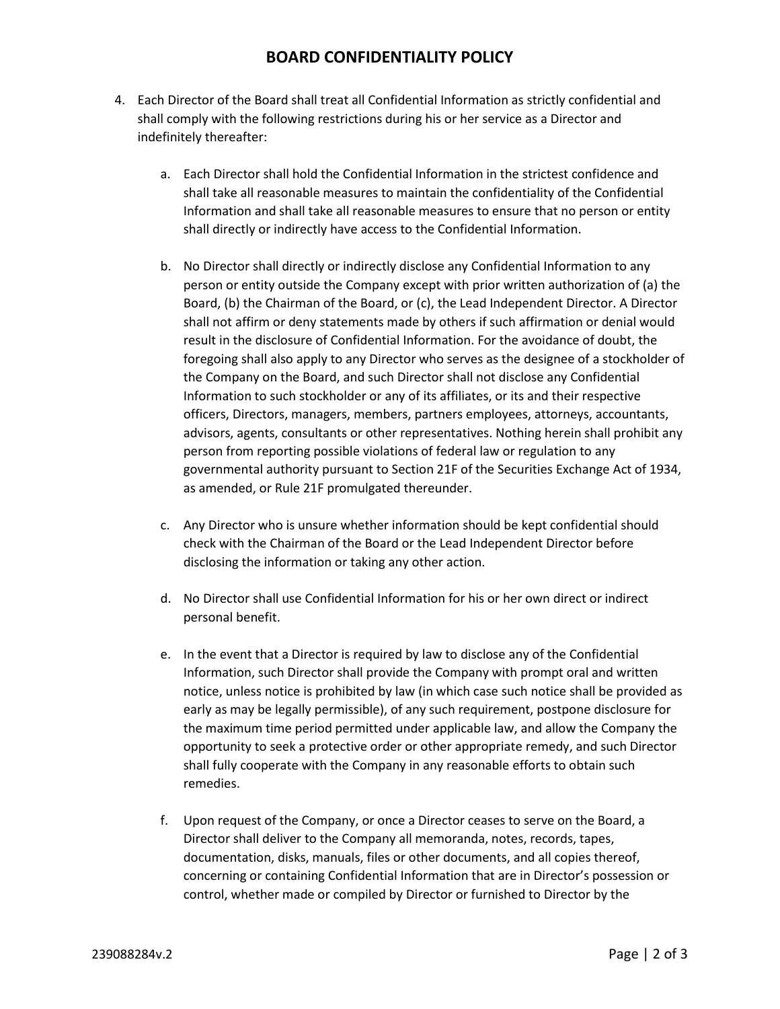## **BOARD CONFIDENTIALITY POLICY**

- 4. Each Director of the Board shall treat all Confidential Information as strictly confidential and shall comply with the following restrictions during his or her service as a Director and indefinitely thereafter:
	- a. Each Director shall hold the Confidential Information in the strictest confidence and shall take all reasonable measures to maintain the confidentiality of the Confidential Information and shall take all reasonable measures to ensure that no person or entity shall directly or indirectly have access to the Confidential Information.
	- b. No Director shall directly or indirectly disclose any Confidential Information to any person or entity outside the Company except with prior written authorization of (a) the Board, (b) the Chairman of the Board, or (c), the Lead Independent Director. A Director shall not affirm or deny statements made by others if such affirmation or denial would result in the disclosure of Confidential Information. For the avoidance of doubt, the foregoing shall also apply to any Director who serves as the designee of a stockholder of the Company on the Board, and such Director shall not disclose any Confidential Information to such stockholder or any of its affiliates, or its and their respective officers, Directors, managers, members, partners employees, attorneys, accountants, advisors, agents, consultants or other representatives. Nothing herein shall prohibit any person from reporting possible violations of federal law or regulation to any governmental authority pursuant to Section 21F of the Securities Exchange Act of 1934, as amended, or Rule 21F promulgated thereunder.
	- c. Any Director who is unsure whether information should be kept confidential should check with the Chairman of the Board or the Lead Independent Director before disclosing the information or taking any other action.
	- d. No Director shall use Confidential Information for his or her own direct or indirect personal benefit.
	- e. In the event that a Director is required by law to disclose any of the Confidential Information, such Director shall provide the Company with prompt oral and written notice, unless notice is prohibited by law (in which case such notice shall be provided as early as may be legally permissible), of any such requirement, postpone disclosure for the maximum time period permitted under applicable law, and allow the Company the opportunity to seek a protective order or other appropriate remedy, and such Director shall fully cooperate with the Company in any reasonable efforts to obtain such remedies.
	- f. Upon request of the Company, or once a Director ceases to serve on the Board, a Director shall deliver to the Company all memoranda, notes, records, tapes, documentation, disks, manuals, files or other documents, and all copies thereof, concerning or containing Confidential Information that are in Director's possession or control, whether made or compiled by Director or furnished to Director by the